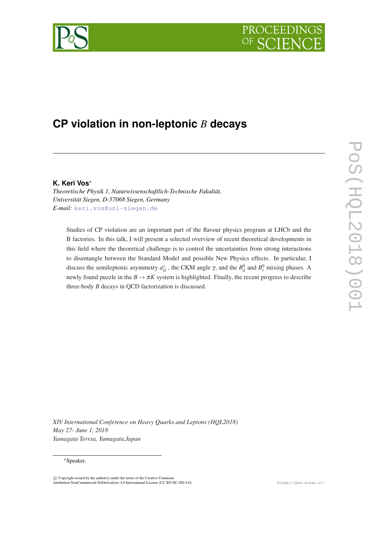# **PROCEEDI**



# **CP violation in non-leptonic** *B* **decays**

#### **K. Keri Vos**<sup>∗</sup>

*Theoretische Physik 1, Naturwissenschaftlich-Technische Fakultät, Universität Siegen, D-57068 Siegen, Germany E-mail:* [keri.vos@uni-siegen.de](mailto:keri.vos@uni-siegen.de)

Studies of CP violation are an important part of the flavour physics program at LHCb and the B factories. In this talk, I will present a selected overview of recent theoretical developments in this field where the theoretical challenge is to control the uncertainties from strong interactions to disentangle between the Standard Model and possible New Physics effects. In particular, I discuss the semileptonic asymmetry  $a_{sl}^s$ , the CKM angle  $\gamma$ , and the  $B_d^0$  and  $B_s^0$  mixing phases. A newly found puzzle in the  $B \to \pi K$  system is highlighted. Finally, the recent progress to describe three-body *B* decays in QCD factorization is discussed.

*XIV International Conference on Heavy Quarks and Leptons (HQL2018) May 27- June 1, 2018 Yamagata Terrsa, Yamagata,Japan*

#### <sup>∗</sup>Speaker.

 $\overline{c}$  Copyright owned by the author(s) under the terms of the Creative Common Attribution-NonCommercial-NoDerivatives 4.0 International License (CC BY-NC-ND 4.0). https://pos.sissa.it/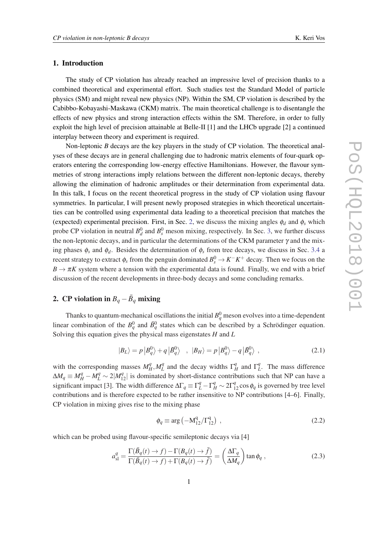#### <span id="page-1-0"></span>1. Introduction

The study of CP violation has already reached an impressive level of precision thanks to a combined theoretical and experimental effort. Such studies test the Standard Model of particle physics (SM) and might reveal new physics (NP). Within the SM, CP violation is described by the Cabibbo-Kobayashi-Maskawa (CKM) matrix. The main theoretical challenge is to disentangle the effects of new physics and strong interaction effects within the SM. Therefore, in order to fully exploit the high level of precision attainable at Belle-II [1] and the LHCb upgrade [2] a continued interplay between theory and experiment is required.

Non-leptonic *B* decays are the key players in the study of CP violation. The theoretical analyses of these decays are in general challenging due to hadronic matrix elements of four-quark operators entering the corresponding low-energy effective Hamiltonians. However, the flavour symmetries of strong interactions imply relations between the different non-leptonic decays, thereby allowing the elimination of hadronic amplitudes or their determination from experimental data. In this talk, I focus on the recent theoretical progress in the study of CP violation using flavour symmetries. In particular, I will present newly proposed strategies in which theoretical uncertainties can be controlled using experimental data leading to a theoretical precision that matches the (expected) experimental precision. First, in Sec. 2, we discuss the mixing angles  $\phi_d$  and  $\phi_s$  which probe CP violation in neutral  $B_d^0$  and  $B_s^0$  meson mixing, respectively. In Sec. [3](#page-3-0), we further discuss the non-leptonic decays, and in particular the determinations of the CKM parameter  $\gamma$  and the mixing phases  $\phi_s$  and  $\phi_d$ . Besides the determination of  $\phi_s$  from tree decays, we discuss in Sec. [3.4](#page-6-0) a recent strategy to extract  $\phi_s$  from the penguin dominated  $B_s^0 \to K^-K^+$  decay. Then we focus on the  $B \to \pi K$  system where a tension with the experimental data is found. Finally, we end with a brief discussion of the recent developments in three-body decays and some concluding remarks.

# 2. CP violation in  $B_q - \bar{B}_q$  mixing

Thanks to quantum-mechanical oscillations the initial  $B_q^0$  meson evolves into a time-dependent linear combination of the  $B_q^0$  and  $\bar{B}_q^0$  states which can be described by a Schrödinger equation. Solving this equation gives the physical mass eigenstates *H* and *L*

$$
|B_L\rangle = p |B_q^0\rangle + q |B_q^0\rangle \quad , \ |B_H\rangle = p |B_q^0\rangle - q |B_q^0\rangle \quad , \tag{2.1}
$$

with the corresponding masses  $M_H^q$  $H^q$ <sub>*H*</sub>, $M^q$ <sub>*L*</sub>  $L^q$  and the decay widths  $\Gamma^q$  $\int_H^q$  and  $\Gamma_l^q$  $L^q$ . The mass difference  $\Delta M_q \equiv M_H^q - M_L^q \sim 2|M_{12}^q|$  is dominated by short-distance contributions such that NP can have a significant impact [3]. The width difference  $\Delta\Gamma_q \equiv \Gamma_l^q - \Gamma_H^q \sim 2\Gamma_{12}^q \cos\phi_q$  is governed by tree level contributions and is therefore expected to be rather insensitive to NP contributions [4–6]. Finally, CP violation in mixing gives rise to the mixing phase

$$
\phi_q \equiv \arg \left( -M_{12}^q / \Gamma_{12}^q \right) \,, \tag{2.2}
$$

which can be probed using flavour-specific semileptonic decays via [4]

$$
a_{\rm sl}^q = \frac{\Gamma(\bar{B}_q(t) \to f) - \Gamma(B_q(t) \to \bar{f})}{\Gamma(\bar{B}_q(t) \to f) + \Gamma(B_q(t) \to \bar{f})} = \left(\frac{\Delta\Gamma_q}{\Delta M_q}\right) \tan\phi_q \,,\tag{2.3}
$$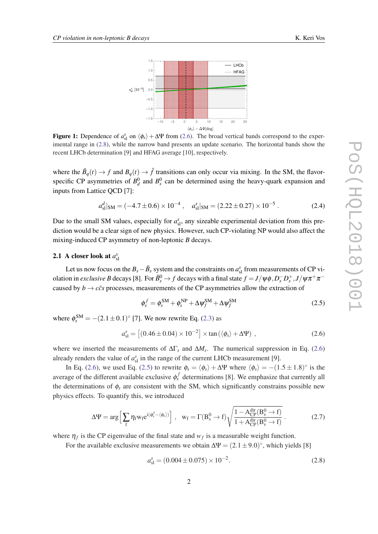<span id="page-2-0"></span>

Figure 1: Dependence of  $a_{s1}^s$  on  $\langle \phi_s \rangle + \Delta \Psi$  from (2.6). The broad vertical bands correspond to the experimental range in (2.8), while the narrow band presents an update scenario. The horizontal bands show the recent LHCb determination [9] and HFAG average [10], respectively.

where the  $\bar{B}_q(t) \to f$  and  $B_q(t) \to \bar{f}$  transitions can only occur via mixing. In the SM, the flavorspecific CP asymmetries of  $B_d^0$  and  $B_s^0$  can be determined using the heavy-quark expansion and inputs from Lattice QCD [7]:

$$
a_{\rm sl}^d|_{\rm SM} = (-4.7 \pm 0.6) \times 10^{-4} , \quad a_{\rm sl}^s|_{\rm SM} = (2.22 \pm 0.27) \times 10^{-5} . \tag{2.4}
$$

Due to the small SM values, especially for  $a_{\rm sl}^s$ , any sizeable experimental deviation from this prediction would be a clear sign of new physics. However, such CP-violating NP would also affect the mixing-induced CP asymmetry of non-leptonic *B* decays.

### **2.1** A closer look at  $a_{\rm sl}^s$

Let us now focus on the  $B_s - \bar{B}_s$  system and the constraints on  $a_{sl}^s$  from measurements of CP violation in *exclusive B* decays [8]. For  $\bar{B}^0_s \to f$  decays with a final state  $f = J/\psi \phi$ ,  $D_s^- D_s^+$ ,  $J/\psi \pi^+ \pi^$ caused by  $b \rightarrow c\bar{c}s$  processes, measurements of the CP asymmetries allow the extraction of

$$
\phi_s^f = \phi_s^{\rm SM} + \phi_s^{\rm NP} + \Delta \psi_f^{\rm SM} + \Delta \psi_f^{\rm SM}
$$
\n(2.5)

where  $\phi_s^{\text{SM}} = -(2.1 \pm 0.1)^{\circ}$  [7]. We now rewrite Eq. [\(2.3\)](#page-1-0) as

$$
a_{\rm sl}^s = \left[ (0.46 \pm 0.04) \times 10^{-2} \right] \times \tan \left( \langle \phi_s \rangle + \Delta \Psi \right) , \qquad (2.6)
$$

where we inserted the measurements of ∆Γ*<sup>s</sup>* and ∆*M<sup>s</sup>* . The numerical suppression in Eq. (2.6) already renders the value of  $a_{sl}^s$  in the range of the current LHCb measurement [9].

In Eq. (2.6), we used Eq. (2.5) to rewrite  $\phi_s = \langle \phi_s \rangle + \Delta \Psi$  where  $\langle \phi_s \rangle = -(1.5 \pm 1.8)^\circ$  is the average of the different available exclusive  $\phi_s^f$  determinations [8]. We emphasize that currently all the determinations of  $\phi_s$  are consistent with the SM, which significantly constrains possible new physics effects. To quantify this, we introduced

$$
\Delta \Psi = \arg \Big[ \sum_{f} \eta_f w_f e^{i(\phi_s^f - \langle \phi_s \rangle)} \Big], \quad w_f = \Gamma(B_s^0 \to f) \sqrt{\frac{1 - A_{CP}^{\text{dir}}(B_s^0 \to f)}{1 + A_{CP}^{\text{dir}}(B_s^0 \to f)}}. \tag{2.7}
$$

where  $\eta_f$  is the CP eigenvalue of the final state and  $w_f$  is a measurable weight function.

For the available exclusive measurements we obtain  $\Delta \Psi = (2.1 \pm 9.0)^\circ$ , which yields [8]

$$
a_{\rm sl}^s = (0.004 \pm 0.075) \times 10^{-2}.
$$
\n(2.8)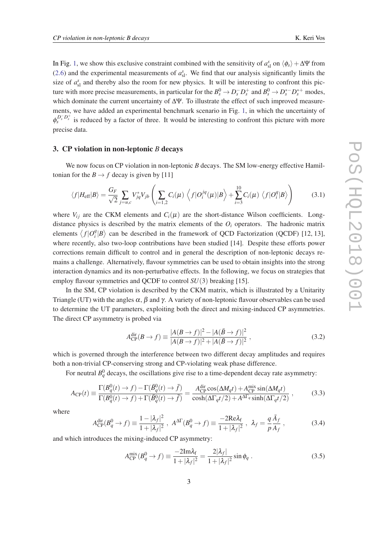<span id="page-3-0"></span>In Fig. [1](#page-2-0), we show this exclusive constraint combined with the sensitivity of  $a_{\rm sl}^s$  on  $\langle \phi_s \rangle + \Delta \Psi$  from ([2.6\)](#page-2-0) and the experimental measurements of  $a_{\rm sl}^s$ . We find that our analysis significantly limits the size of  $a_{\rm{sl}}^s$  and thereby also the room for new physics. It will be interesting to confront this picture with more precise measurements, in particular for the  $B_s^0 \to D_s^- D_s^+$  and  $B_s^0 \to D_s^*^- D_s^{*+}$  modes, which dominate the current uncertainty of ΔΨ. To illustrate the effect of such improved measurements, we have added an experimental benchmark scenario in Fig. [1](#page-2-0), in which the uncertainty of  $\phi_s^{D_s^- D_s^+}$  is reduced by a factor of three. It would be interesting to confront this picture with more precise data.

#### 3. CP violation in non-leptonic *B* decays

We now focus on CP violation in non-leptonic *B* decays. The SM low-energy effective Hamiltonian for the  $B \to f$  decay is given by [11]

$$
\langle f|H_{\text{eff}}|B\rangle = \frac{G_F}{\sqrt{2}} \sum_{j=u,c} V_{jq}^* V_{jb} \left( \sum_{i=1,2} C_i(\mu) \left\langle f|O_i^{jq}(\mu)|B\right\rangle + \sum_{i=3}^{10} C_i(\mu) \left\langle f|O_i^q|B\right\rangle \right) \tag{3.1}
$$

where  $V_{ij}$  are the CKM elements and  $C_i(\mu)$  are the short-distance Wilson coefficients. Longdistance physics is described by the matrix elements of the  $O_i$  operators. The hadronic matrix elements  $\langle f | O_i^q \rangle$  $\binom{q}{i}$  can be described in the framework of QCD Factorization (QCDF) [12, 13], where recently, also two-loop contributions have been studied [14]. Despite these efforts power corrections remain difficult to control and in general the description of non-leptonic decays remains a challenge. Alternatively, flavour symmetries can be used to obtain insights into the strong interaction dynamics and its non-perturbative effects. In the following, we focus on strategies that employ flavour symmetries and QCDF to control *SU*(3) breaking [15].

In the SM, CP violation is described by the CKM matrix, which is illustrated by a Unitarity Triangle (UT) with the angles  $\alpha$ ,  $\beta$  and  $\gamma$ . A variety of non-leptonic flavour observables can be used to determine the UT parameters, exploiting both the direct and mixing-induced CP asymmetries. The direct CP asymmetry is probed via

$$
A_{\rm CP}^{\rm dir}(B \to f) \equiv \frac{|A(B \to f)|^2 - |A(\bar{B} \to f)|^2}{|A(B \to f)|^2 + |A(\bar{B} \to f)|^2},\tag{3.2}
$$

which is governed through the interference between two different decay amplitudes and requires both a non-trivial CP-conserving strong and CP-violating weak phase difference.

For neutral  $B_q^0$  decays, the oscillations give rise to a time-dependent decay rate asymmetry:

$$
A_{\rm CP}(t) \equiv \frac{\Gamma(B_q^0(t) \to f) - \Gamma(\bar{B}_q^0(t) \to \bar{f})}{\Gamma(B_q^0(t) \to f) + \Gamma(\bar{B}_q^0(t) \to \bar{f})} = \frac{A_{\rm CP}^{\rm dir} \cos(\Delta M_q t) + A_{\rm CP}^{\rm mix} \sin(\Delta M_q t)}{\cosh(\Delta \Gamma_q t/2) + A^{\Delta \Gamma_q} \sinh(\Delta \Gamma_q t/2)},
$$
(3.3)

where

$$
A_{\rm CP}^{\rm dir}(B_q^0 \to f) \equiv \frac{1 - |\lambda_f|^2}{1 + |\lambda_f|^2} , \ A^{\Delta \Gamma}(B_q^0 \to f) \equiv \frac{-2\text{Re}\lambda_f}{1 + |\lambda_f|^2} , \ \lambda_f = \frac{q}{p} \frac{\bar{A}_f}{A_f} , \tag{3.4}
$$

and which introduces the mixing-induced CP asymmetry:

$$
A_{\rm CP}^{\rm mix}(B_q^0 \to f) \equiv \frac{-2\text{Im}\lambda_f}{1 + |\lambda_f|^2} = \frac{2|\lambda_f|}{1 + |\lambda_f|^2} \sin \phi_q \ . \tag{3.5}
$$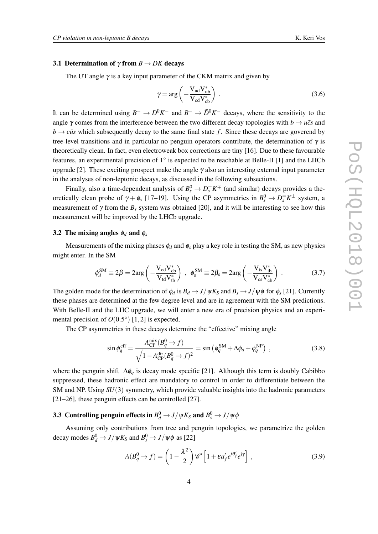#### <span id="page-4-0"></span>3.1 Determination of  $\gamma$  from  $B \to DK$  decays

The UT angle  $\gamma$  is a key input parameter of the CKM matrix and given by

$$
\gamma = \arg \left( -\frac{V_{ud} V_{ub}^*}{V_{cd} V_{cb}^*} \right) \,. \tag{3.6}
$$

It can be determined using  $B^- \to D^0 K^-$  and  $B^- \to \bar{D}^0 K^-$  decays, where the sensitivity to the angle  $\gamma$  comes from the interference between the two different decay topologies with  $b \rightarrow u\bar{c}s$  and  $b \rightarrow c\bar{u}s$  which subsequently decay to the same final state *f*. Since these decays are goverend by tree-level transitions and in particular no penguin operators contribute, the determination of  $\gamma$  is theoretically clean. In fact, even electroweak box corrections are tiny [16]. Due to these favourable features, an experimental precision of 1◦ is expected to be reachable at Belle-II [1] and the LHCb upgrade [2]. These exciting prospect make the angle  $\gamma$  also an interesting external input parameter in the analyses of non-leptonic decays, as discussed in the following subsections.

Finally, also a time-dependent analysis of  $B_s^0 \to D_s^{\pm} K^{\mp}$  (and similar) decays provides a theoretically clean probe of  $\gamma + \phi_s$  [17–19]. Using the CP asymmetries in  $B_s^0 \to D_s^{\mp} K^{\pm}$  system, a measurement of  $\gamma$  from the  $B_s$  system was obtained [20], and it will be interesting to see how this measurement will be improved by the LHCb upgrade.

#### 3.2 The mixing angles  $\phi_d$  and  $\phi_s$

Measurements of the mixing phases  $\phi_d$  and  $\phi_s$  play a key role in testing the SM, as new physics might enter. In the SM

$$
\phi_d^{\rm SM} \equiv 2\beta = 2\arg\left(-\frac{V_{cd}V_{cb}^*}{V_{td}V_{tb}^*}\right) , \quad \phi_s^{\rm SM} \equiv 2\beta_s = 2\arg\left(-\frac{V_{ts}V_{tb}^*}{V_{cs}V_{cb}^*}\right) . \tag{3.7}
$$

The golden mode for the determination of  $\phi_d$  is  $B_d \to J/\psi K_S$  and  $B_s \to J/\psi \phi$  for  $\phi_s$  [21]. Currently these phases are determined at the few degree level and are in agreement with the SM predictions. With Belle-II and the LHC upgrade, we will enter a new era of precision physics and an experimental precision of  $O(0.5^{\circ})$  [1, 2] is expected.

The CP asymmetries in these decays determine the "effective" mixing angle

$$
\sin \phi_q^{\text{eff}} = \frac{A_{\text{CP}}^{\text{mix}}(B_q^0 \to f)}{\sqrt{1 - A_{\text{CP}}^{\text{dir}}(B_q^0 \to f)^2}} = \sin \left(\phi_q^{\text{SM}} + \Delta \phi_q + \phi_q^{\text{NP}}\right) ,\qquad (3.8)
$$

where the penguin shift ∆φ*<sup>q</sup>* is decay mode specific [21]. Although this term is doubly Cabibbo suppressed, these hadronic effect are mandatory to control in order to differentiate between the SM and NP. Using *SU*(3) symmetry, which provide valuable insights into the hadronic parameters [21–26], these penguin effects can be controlled [27].

## 3.3 Controlling penguin effects in  $B_d^0 \rightarrow J/\psi K_S$  and  $B_s^0 \rightarrow J/\psi \phi$

Assuming only contributions from tree and penguin topologies, we parametrize the golden decay modes  $B_d^0 \rightarrow J/\psi K_S$  and  $B_s^0 \rightarrow J/\psi \phi$  as [22]

$$
A(B_q^0 \to f) = \left(1 - \frac{\lambda^2}{2}\right) \mathscr{C}' \left[1 + \varepsilon a_f' e^{i\theta_f'} e^{i\gamma}\right] \,,\tag{3.9}
$$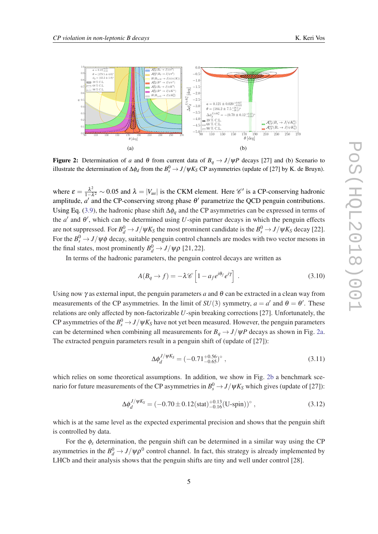

Figure 2: Determination of *a* and  $\theta$  from current data of  $B_q \rightarrow J/\psi P$  decays [27] and (b) Scenario to illustrate the determination of  $\Delta\phi_d$  from the  $B_s^0 \to J/\psi K_S$  CP asymmetries (update of [27] by K. de Bruyn).

where  $\varepsilon = \frac{\lambda^2}{1-\lambda^2}$  $\frac{\lambda^2}{1-\lambda^2}$  ~ 0.05 and  $\lambda = |V_{us}|$  is the CKM element. Here C' is a CP-conserving hadronic amplitude,  $a'$  and the CP-conserving strong phase  $\theta'$  parametrize the QCD penguin contributions. Using Eq. [\(3.9\)](#page-4-0), the hadronic phase shift ∆φ*<sup>q</sup>* and the CP asymmetries can be expressed in terms of the  $a'$  and  $\theta'$ , which can be determined using *U*-spin partner decays in which the penguin effects are not suppressed. For  $B_d^0 \to J/\psi K_S$  the most prominent candidate is the  $B_s^0 \to J/\psi K_S$  decay [22]. For the  $B_s^0 \rightarrow J/\psi \phi$  decay, suitable penguin control channels are modes with two vector mesons in the final states, most prominently  $B_d^0 \rightarrow J/\psi \rho$  [21, 22].

In terms of the hadronic parameters, the penguin control decays are written as

$$
A(B_q \to f) = -\lambda \mathscr{C} \left[ 1 - a_f e^{i\theta_f} e^{i\gamma} \right] . \tag{3.10}
$$

Using now  $\gamma$  as external input, the penguin parameters *a* and  $\theta$  can be extracted in a clean way from measurements of the CP asymmetries. In the limit of  $SU(3)$  symmetry,  $a = a'$  and  $\theta = \theta'$ . These relations are only affected by non-factorizable *U*-spin breaking corrections [27]. Unfortunately, the CP asymmetries of the  $B_s^0 \rightarrow J/\psi K_S$  have not yet been measured. However, the penguin parameters can be determined when combining all measurements for  $B_q \rightarrow J/\psi P$  decays as shown in Fig. 2a. The extracted penguin parameters result in a penguin shift of (update of [27]):

$$
\Delta \phi_d^{J/\psi K_S} = (-0.71^{+0.56}_{-0.65})^{\circ} ,\qquad (3.11)
$$

which relies on some theoretical assumptions. In addition, we show in Fig. 2b a benchmark scenario for future measurements of the CP asymmetries in  $B_s^0 \rightarrow J/\psi K_S$  which gives (update of [27]):

$$
\Delta \phi_d^{J/\psi K_S} = (-0.70 \pm 0.12 \text{(stat)}^{+0.13}_{-0.16} \text{(U-spin)})^{\circ} , \qquad (3.12)
$$

which is at the same level as the expected experimental precision and shows that the penguin shift is controlled by data.

For the  $\phi_s$  determination, the penguin shift can be determined in a similar way using the CP asymmetries in the  $B_d^0 \to J/\psi \rho^0$  control channel. In fact, this strategy is already implemented by LHCb and their analysis shows that the penguin shifts are tiny and well under control [28].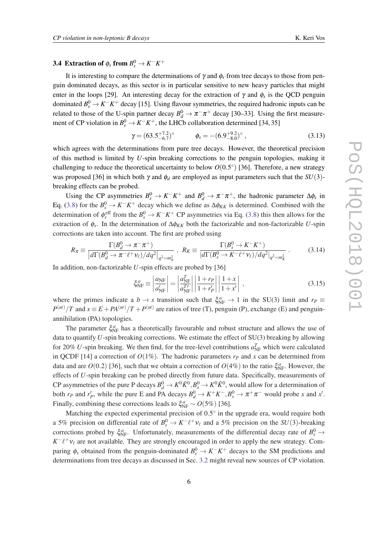## <span id="page-6-0"></span>**3.4** Extraction of  $\phi_s$  from  $B_s^0 \to K^-K^+$

It is interesting to compare the determinations of  $\gamma$  and  $\phi_s$  from tree decays to those from penguin dominated decays, as this sector is in particular sensitive to new heavy particles that might enter in the loops [29]. An interesting decay for the extraction of  $\gamma$  and  $\phi_s$  is the QCD penguin dominated  $B_s^0 \to K^-K^+$  decay [15]. Using flavour symmetries, the required hadronic inputs can be related to those of the U-spin partner decay  $B_d^0 \to \pi^- \pi^+$  decay [30–33]. Using the first measurement of CP violation in  $B_s^0 \to K^-K^+$ , the LHCb collaboration determined [34, 35]

$$
\gamma = (63.5^{+7.2}_{-6.7})^{\circ} \qquad \phi_s = -(6.9^{+9.2}_{-8.0})^{\circ} \,, \tag{3.13}
$$

which agrees with the determinations from pure tree decays. However, the theoretical precision of this method is limited by *U*-spin breaking corrections to the penguin topologies, making it challenging to reduce the theoretical uncertainty to below  $O(0.5^{\circ})$  [36]. Therefore, a new strategy was proposed [36] in which both  $\gamma$  and  $\phi_d$  are employed as input parameters such that the *SU*(3)breaking effects can be probed.

Using the CP asymmetries  $B_s^0 \to K^-K^+$  and  $B_d^0 \to \pi^- \pi^+$ , the hadronic parameter  $\Delta \phi_s$  in Eq. ([3.8\)](#page-4-0) for the  $B_s^0 \to K^-K^+$  decay which we define as  $\Delta \phi_{KK}$  is determined. Combined with the determination of  $\phi_s^{\text{eff}}$  from the  $B_s^0 \to K^-K^+$  CP asymmetries via Eq. ([3.8](#page-4-0)) this then allows for the extraction of φ*<sup>s</sup>* . In the determination of ∆φ*KK* both the factorizable and non-factorizable *U*-spin corrections are taken into account. The first are probed using

$$
R_{\pi} \equiv \frac{\Gamma(B_d^0 \to \pi^- \pi^+)}{|d\Gamma(B_d^0 \to \pi^- \ell^+ \nu_{\ell})/dq^2|_{q^2 = m_{\pi}^2}}, \ R_K \equiv \frac{\Gamma(B_s^0 \to K^- K^+)}{|d\Gamma(B_s^0 \to K^- \ell^+ \nu_{\ell})/dq^2|_{q^2 = m_K^2}}.
$$
(3.14)

In addition, non-factorizable *U*-spin effects are probed by [36]

$$
\xi_{\rm NF}^a \equiv \left| \frac{a_{\rm NF}}{a_{\rm NF}'} \right| = \left| \frac{a_{\rm NF}^T}{a_{\rm NF}^{T'}} \right| \left| \frac{1 + r_P}{1 + r_P'} \right| \left| \frac{1 + x}{1 + x'} \right| ,\tag{3.15}
$$

where the primes indicate a  $b \to s$  transition such that  $\xi_{NF}^a \to 1$  in the SU(3) limit and  $r_P \equiv$  $P^{(ut)}/T$  and  $x \equiv E + PA^{(ut)}/T + P^{(ut)}$  are ratios of tree (T), penguin (P), exchange (E) and penguinannihilation (PA) topologies.

The parameter  $\xi_{\text{NF}}^a$  has a theoretically favourable and robust structure and allows the use of data to quantify *U*-spin breaking corrections. We estimate the effect of SU(3) breaking by allowing for 20% *U*-spin breaking. We then find, for the tree-level contributions  $a_{\text{NF}}^T$  which were calculated in QCDF [14] a correction of  $O(1\%)$ . The hadronic parameters  $r<sub>P</sub>$  and  $x$  can be determined from data and are  $O(0.2)$  [36], such that we obtain a correction of  $O(4\%)$  to the ratio  $\xi_{\text{NF}}^a$ . However, the effects of *U*-spin breaking can be probed directly from future data. Specifically, measurements of CP asymmetries of the pure P decays  $B_d^0 \to K^0 \bar{K}^0$ ,  $B_s^0 \to K^0 \bar{K}^0$ , would allow for a determination of both *r<sub>P</sub>* and *r*<sup>*p*</sup>, while the pure E and PA decays  $B_d^0 \to K^+K^-, B_s^0 \to \pi^+\pi^-$  would probe *x* and *x'*. Finally, combining these corrections leads to  $\xi_{\text{NF}}^a \sim O(5\%)$  [36].

Matching the expected experimental precision of  $0.5^{\circ}$  in the upgrade era, would require both a 5% precision on differential rate of  $B_s^0 \to K^- \ell^+ \nu_\ell$  and a 5% precision on the *SU*(3)-breaking corrections probed by  $\xi_{NF}^a$ . Unfortunately, measurements of the differential decay rate of  $B_s^0 \to$  $K^-\ell^+\nu_\ell$  are not available. They are strongly encouraged in order to apply the new strategy. Comparing  $\phi_s$  obtained from the penguin-dominated  $B_s^0 \to K^-K^+$  decays to the SM predictions and determinations from tree decays as discussed in Sec. [3.2](#page-4-0) might reveal new sources of CP violation.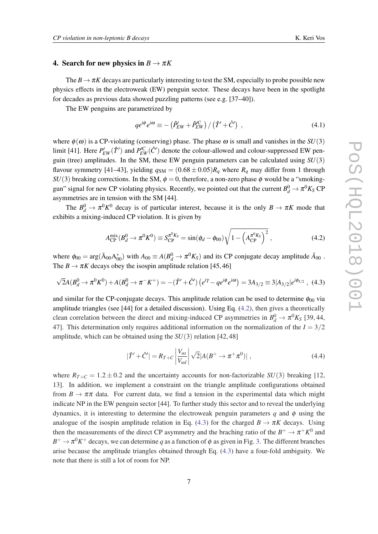#### 4. Search for new physics in  $B \to \pi K$

The  $B \to \pi K$  decays are particularly interesting to test the SM, especially to probe possible new physics effects in the electroweak (EW) penguin sector. These decays have been in the spotlight for decades as previous data showed puzzling patterns (see e.g. [37–40]).

The EW penguins are parametrized by

$$
qe^{i\phi}e^{i\omega} \equiv -\left(\hat{P}_{EW}^{\prime} + \hat{P}_{EW}^{\prime\prime}\right)/\left(\hat{T}^{\prime} + \hat{C}^{\prime}\right) ,\qquad (4.1)
$$

where  $\phi(\omega)$  is a CP-violating (conserving) phase. The phase  $\omega$  is small and vanishes in the *SU*(3) limit [41]. Here  $P'_{EW}(\hat{T}')$  and  $P'^C_{EW}(\hat{C}')$  denote the colour-allowed and colour-suppressed EW penguin (tree) amplitudes. In the SM, these EW penguin parameters can be calculated using *SU*(3) flavour symmetry [41–43], yielding  $q_{\text{SM}} = (0.68 \pm 0.05)R_q$  where  $R_q$  may differ from 1 through *SU*(3) breaking corrections. In the SM,  $\phi = 0$ , therefore, a non-zero phase  $\phi$  would be a "smokinggun" signal for new CP violating physics. Recently, we pointed out that the current  $B_d^0 \to \pi^0 K_S$  CP asymmetries are in tension with the SM [44].

The  $B_d^0 \to \pi^0 K^0$  decay is of particular interest, because it is the only  $B \to \pi K$  mode that exhibits a mixing-induced CP violation. It is given by

$$
A_{\rm CP}^{\rm mix}(B_d^0 \to \pi^0 K^0) \equiv S_{\rm CP}^{\pi^0 K_S} = \sin(\phi_d - \phi_{00}) \sqrt{1 - \left(A_{\rm CP}^{\pi^0 K_S}\right)^2} \,, \tag{4.2}
$$

where  $\phi_{00} = \arg(\bar{A}_{00}A_{00}^*)$  with  $A_{00} \equiv A(B_d^0 \to \pi^0 K_S)$  and its CP conjugate decay amplitude  $\bar{A}_{00}$ . The  $B \to \pi K$  decays obey the isospin amplitude relation [45, 46]

$$
\sqrt{2}A(B_d^0 \to \pi^0 K^0) + A(B_d^0 \to \pi^- K^+) = -(\hat{T}' + \hat{C}') (e^{i\gamma} - q e^{i\phi} e^{i\omega}) = 3A_{3/2} \equiv 3|A_{3/2}|e^{i\phi_{3/2}}, \tag{4.3}
$$

and similar for the CP-conjugate decays. This amplitude relation can be used to determine  $\phi_{00}$  via amplitude triangles (see [44] for a detailed discussion). Using Eq. (4.2), then gives a theoretically clean correlation between the direct and mixing-induced CP asymmetries in  $B_d^0 \to \pi^0 K_S$  [39, 44, 47]. This determination only requires additional information on the normalization of the  $I = 3/2$ amplitude, which can be obtained using the *SU*(3) relation [42, 48]

$$
|\hat{T}' + \hat{C}'| = R_{T+C} \left| \frac{V_{us}}{V_{ud}} \right| \sqrt{2} |A(B^+ \to \pi^+ \pi^0)| \,, \tag{4.4}
$$

where  $R_{T+C} = 1.2 \pm 0.2$  and the uncertainty accounts for non-factorizable *SU*(3) breaking [12, 13]. In addition, we implement a constraint on the triangle amplitude configurations obtained from  $B \to \pi \pi$  data. For current data, we find a tension in the experimental data which might indicate NP in the EW penguin sector [44]. To further study this sector and to reveal the underlying dynamics, it is interesting to determine the electroweak penguin parameters  $q$  and  $\phi$  using the analogue of the isospin amplitude relation in Eq. (4.3) for the charged  $B \to \pi K$  decays. Using then the measurements of the direct CP asymmetry and the braching ratio of the  $B^+ \to \pi^+ K^0$  and  $B^+ \to \pi^0 K^+$  decays, we can determine *q* as a function of  $\phi$  as given in Fig. [3.](#page-8-0) The different branches arise because the amplitude triangles obtained through Eq. (4.3) have a four-fold ambiguity. We note that there is still a lot of room for NP.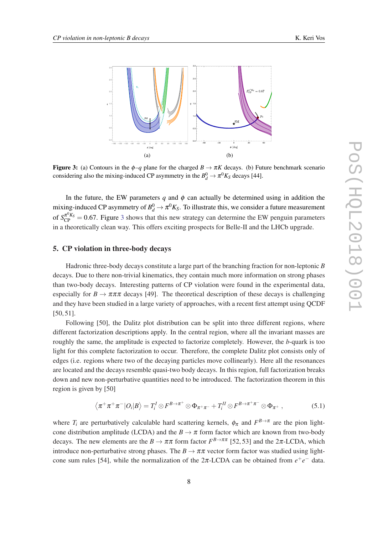<span id="page-8-0"></span>

**Figure 3:** (a) Contours in the  $\phi$ -*q* plane for the charged  $B \to \pi K$  decays. (b) Future benchmark scenario considering also the mixing-induced CP asymmetry in the  $B_d^0 \to \pi^0 K_S$  decays [44].

In the future, the EW parameters  $q$  and  $\phi$  can actually be determined using in addition the mixing-induced CP asymmetry of  $B_d^0 \to \pi^0 K_S$ . To illustrate this, we consider a future measurement of  $S_{\text{CP}}^{\pi^0 K_S} = 0.67$ . Figure 3 shows that this new strategy can determine the EW penguin parameters in a theoretically clean way. This offers exciting prospects for Belle-II and the LHCb upgrade.

#### 5. CP violation in three-body decays

Hadronic three-body decays constitute a large part of the branching fraction for non-leptonic *B* decays. Due to there non-trivial kinematics, they contain much more information on strong phases than two-body decays. Interesting patterns of CP violation were found in the experimental data, especially for  $B \to \pi \pi \pi$  decays [49]. The theoretical description of these decays is challenging and they have been studied in a large variety of approaches, with a recent first attempt using QCDF [50, 51].

Following [50], the Dalitz plot distribution can be split into three different regions, where different factorization descriptions apply. In the central region, where all the invariant masses are roughly the same, the amplitude is expected to factorize completely. However, the *b*-quark is too light for this complete factorization to occur. Therefore, the complete Dalitz plot consists only of edges (i.e. regions where two of the decaying particles move collinearly). Here all the resonances are located and the decays resemble quasi-two body decays. In this region, full factorization breaks down and new non-perturbative quantities need to be introduced. The factorization theorem in this region is given by [50]

$$
\left\langle \pi^+\pi^+\pi^-|O_i|B\right\rangle = T_i^I \otimes F^{B\to\pi^+} \otimes \Phi_{\pi^+\pi^-} + T_i^{II} \otimes F^{B\to\pi^+\pi^-} \otimes \Phi_{\pi^+} ,\tag{5.1}
$$

where  $T_i$  are perturbatively calculable hard scattering kernels,  $\phi_{\pi}$  and  $F^{B\to\pi}$  are the pion lightcone distribution amplitude (LCDA) and the  $B \to \pi$  form factor which are known from two-body decays. The new elements are the  $B \to \pi \pi$  form factor  $F^{B \to \pi \pi}$  [52, 53] and the 2 $\pi$ -LCDA, which introduce non-perturbative strong phases. The  $B \to \pi\pi$  vector form factor was studied using lightcone sum rules [54], while the normalization of the  $2\pi$ -LCDA can be obtained from  $e^+e^-$  data.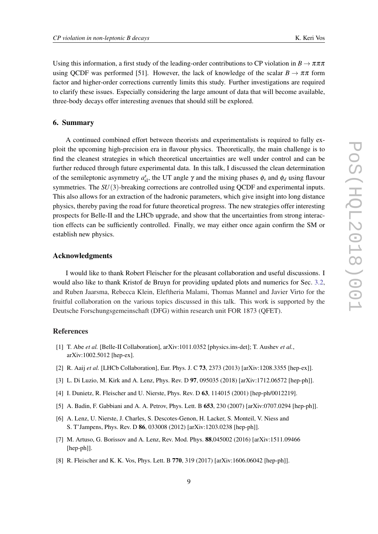Using this information, a first study of the leading-order contributions to CP violation in  $B \to \pi \pi \pi$ using QCDF was performed [51]. However, the lack of knowledge of the scalar  $B \to \pi \pi$  form factor and higher-order corrections currently limits this study. Further investigations are required to clarify these issues. Especially considering the large amount of data that will become available, three-body decays offer interesting avenues that should still be explored.

#### 6. Summary

A continued combined effort between theorists and experimentalists is required to fully exploit the upcoming high-precision era in flavour physics. Theoretically, the main challenge is to find the cleanest strategies in which theoretical uncertainties are well under control and can be further reduced through future experimental data. In this talk, I discussed the clean determination of the semileptonic asymmetry  $a_{s}^s$ , the UT angle  $\gamma$  and the mixing phases  $\phi_s$  and  $\phi_d$  using flavour symmetries. The *SU*(3)-breaking corrections are controlled using QCDF and experimental inputs. This also allows for an extraction of the hadronic parameters, which give insight into long distance physics, thereby paving the road for future theoretical progress. The new strategies offer interesting prospects for Belle-II and the LHCb upgrade, and show that the uncertainties from strong interaction effects can be sufficiently controlled. Finally, we may either once again confirm the SM or establish new physics.

#### Acknowledgments

I would like to thank Robert Fleischer for the pleasant collaboration and useful discussions. I would also like to thank Kristof de Bruyn for providing updated plots and numerics for Sec. [3.2](#page-4-0), and Ruben Jaarsma, Rebecca Klein, Eleftheria Malami, Thomas Mannel and Javier Virto for the fruitful collaboration on the various topics discussed in this talk. This work is supported by the Deutsche Forschungsgemeinschaft (DFG) within research unit FOR 1873 (QFET).

#### References

- [1] T. Abe *et al.* [Belle-II Collaboration], arXiv:1011.0352 [physics.ins-det]; T. Aushev *et al.*, arXiv:1002.5012 [hep-ex].
- [2] R. Aaij *et al.* [LHCb Collaboration], Eur. Phys. J. C 73, 2373 (2013) [arXiv:1208.3355 [hep-ex]].
- [3] L. Di Luzio, M. Kirk and A. Lenz, Phys. Rev. D 97, 095035 (2018) [arXiv:1712.06572 [hep-ph]].
- [4] I. Dunietz, R. Fleischer and U. Nierste, Phys. Rev. D 63, 114015 (2001) [hep-ph/0012219].
- [5] A. Badin, F. Gabbiani and A. A. Petrov, Phys. Lett. B **653**, 230 (2007) [arXiv:0707.0294 [hep-ph]].
- [6] A. Lenz, U. Nierste, J. Charles, S. Descotes-Genon, H. Lacker, S. Monteil, V. Niess and S. T'Jampens, Phys. Rev. D 86, 033008 (2012) [arXiv:1203.0238 [hep-ph]].
- [7] M. Artuso, G. Borissov and A. Lenz, Rev. Mod. Phys. 88,045002 (2016) [arXiv:1511.09466 [hep-ph]].
- [8] R. Fleischer and K. K. Vos, Phys. Lett. B 770, 319 (2017) [arXiv:1606.06042 [hep-ph]].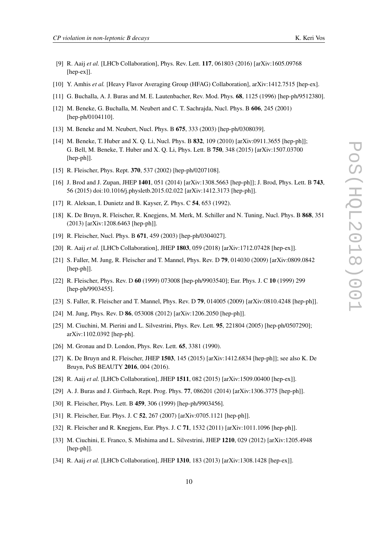- [9] R. Aaij *et al.* [LHCb Collaboration], Phys. Rev. Lett. 117, 061803 (2016) [arXiv:1605.09768 [hep-ex]].
- [10] Y. Amhis *et al.* [Heavy Flavor Averaging Group (HFAG) Collaboration], arXiv:1412.7515 [hep-ex].
- [11] G. Buchalla, A. J. Buras and M. E. Lautenbacher, Rev. Mod. Phys. 68, 1125 (1996) [hep-ph/9512380].
- [12] M. Beneke, G. Buchalla, M. Neubert and C. T. Sachrajda, Nucl. Phys. B 606, 245 (2001) [hep-ph/0104110].
- [13] M. Beneke and M. Neubert, Nucl. Phys. B 675, 333 (2003) [hep-ph/0308039].
- [14] M. Beneke, T. Huber and X. Q. Li, Nucl. Phys. B 832, 109 (2010) [arXiv:0911.3655 [hep-ph]]; G. Bell, M. Beneke, T. Huber and X. Q. Li, Phys. Lett. B 750, 348 (2015) [arXiv:1507.03700 [hep-ph]].
- [15] R. Fleischer, Phys. Rept. 370, 537 (2002) [hep-ph/0207108].
- [16] J. Brod and J. Zupan, JHEP 1401, 051 (2014) [arXiv:1308.5663 [hep-ph]]; J. Brod, Phys. Lett. B 743, 56 (2015) doi:10.1016/j.physletb.2015.02.022 [arXiv:1412.3173 [hep-ph]].
- [17] R. Aleksan, I. Dunietz and B. Kayser, Z. Phys. C 54, 653 (1992).
- [18] K. De Bruyn, R. Fleischer, R. Knegjens, M. Merk, M. Schiller and N. Tuning, Nucl. Phys. B 868, 351 (2013) [arXiv:1208.6463 [hep-ph]].
- [19] R. Fleischer, Nucl. Phys. B **671**, 459 (2003) [hep-ph/0304027].
- [20] R. Aaij et al. [LHCb Collaboration], JHEP 1803, 059 (2018) [arXiv:1712.07428 [hep-ex]].
- [21] S. Faller, M. Jung, R. Fleischer and T. Mannel, Phys. Rev. D 79, 014030 (2009) [arXiv:0809.0842 [hep-ph]].
- [22] R. Fleischer, Phys. Rev. D 60 (1999) 073008 [hep-ph/9903540]; Eur. Phys. J. C 10 (1999) 299 [hep-ph/9903455].
- [23] S. Faller, R. Fleischer and T. Mannel, Phys. Rev. D 79, 014005 (2009) [arXiv:0810.4248 [hep-ph]].
- [24] M. Jung, Phys. Rev. D 86, 053008 (2012) [arXiv:1206.2050 [hep-ph]].
- [25] M. Ciuchini, M. Pierini and L. Silvestrini, Phys. Rev. Lett. 95, 221804 (2005) [hep-ph/0507290]; arXiv:1102.0392 [hep-ph].
- [26] M. Gronau and D. London, Phys. Rev. Lett. **65**, 3381 (1990).
- [27] K. De Bruyn and R. Fleischer, JHEP 1503, 145 (2015) [arXiv:1412.6834 [hep-ph]]; see also K. De Bruyn, PoS BEAUTY 2016, 004 (2016).
- [28] R. Aaij *et al.* [LHCb Collaboration], JHEP **1511**, 082 (2015) [arXiv:1509.00400 [hep-ex]].
- [29] A. J. Buras and J. Girrbach, Rept. Prog. Phys. 77, 086201 (2014) [arXiv:1306.3775 [hep-ph]].
- [30] R. Fleischer, Phys. Lett. B 459, 306 (1999) [hep-ph/9903456].
- [31] R. Fleischer, Eur. Phys. J. C 52, 267 (2007) [arXiv:0705.1121 [hep-ph]].
- [32] R. Fleischer and R. Knegjens, Eur. Phys. J. C 71, 1532 (2011) [arXiv:1011.1096 [hep-ph]].
- [33] M. Ciuchini, E. Franco, S. Mishima and L. Silvestrini, JHEP 1210, 029 (2012) [arXiv:1205.4948 [hep-ph]].
- [34] R. Aaij *et al.* [LHCb Collaboration], JHEP **1310**, 183 (2013) [arXiv:1308.1428 [hep-ex]].